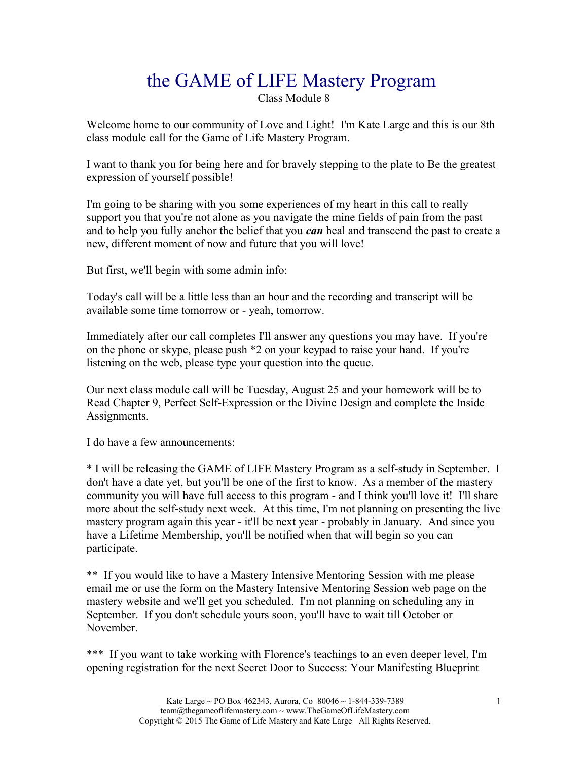# the GAME of LIFE Mastery Program

Class Module 8

Welcome home to our community of Love and Light! I'm Kate Large and this is our 8th class module call for the Game of Life Mastery Program.

I want to thank you for being here and for bravely stepping to the plate to Be the greatest expression of yourself possible!

I'm going to be sharing with you some experiences of my heart in this call to really support you that you're not alone as you navigate the mine fields of pain from the past and to help you fully anchor the belief that you *can* heal and transcend the past to create a new, different moment of now and future that you will love!

But first, we'll begin with some admin info:

Today's call will be a little less than an hour and the recording and transcript will be available some time tomorrow or - yeah, tomorrow.

Immediately after our call completes I'll answer any questions you may have. If you're on the phone or skype, please push \*2 on your keypad to raise your hand. If you're listening on the web, please type your question into the queue.

Our next class module call will be Tuesday, August 25 and your homework will be to Read Chapter 9, Perfect Self-Expression or the Divine Design and complete the Inside Assignments.

I do have a few announcements:

\* I will be releasing the GAME of LIFE Mastery Program as a self-study in September. I don't have a date yet, but you'll be one of the first to know. As a member of the mastery community you will have full access to this program - and I think you'll love it! I'll share more about the self-study next week. At this time, I'm not planning on presenting the live mastery program again this year - it'll be next year - probably in January. And since you have a Lifetime Membership, you'll be notified when that will begin so you can participate.

\*\* If you would like to have a Mastery Intensive Mentoring Session with me please email me or use the form on the Mastery Intensive Mentoring Session web page on the mastery website and we'll get you scheduled. I'm not planning on scheduling any in September. If you don't schedule yours soon, you'll have to wait till October or November.

\*\*\* If you want to take working with Florence's teachings to an even deeper level, I'm opening registration for the next Secret Door to Success: Your Manifesting Blueprint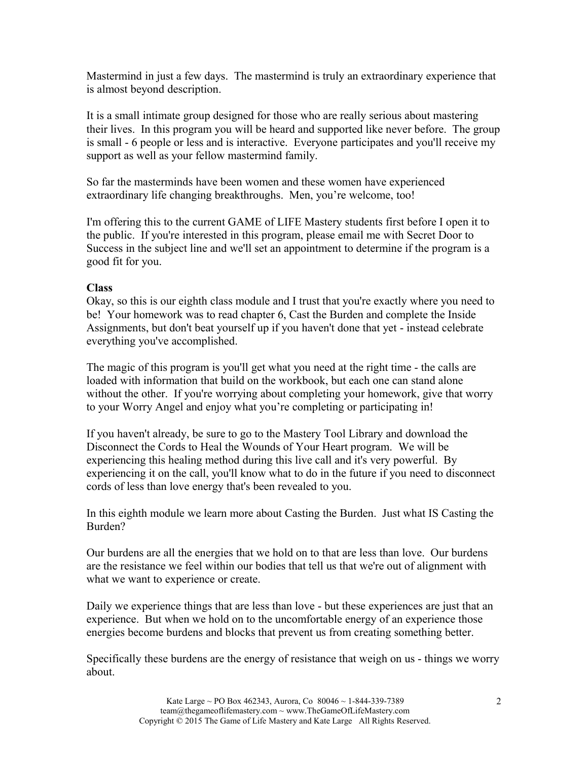Mastermind in just a few days. The mastermind is truly an extraordinary experience that is almost beyond description.

It is a small intimate group designed for those who are really serious about mastering their lives. In this program you will be heard and supported like never before. The group is small - 6 people or less and is interactive. Everyone participates and you'll receive my support as well as your fellow mastermind family.

So far the masterminds have been women and these women have experienced extraordinary life changing breakthroughs. Men, you're welcome, too!

I'm offering this to the current GAME of LIFE Mastery students first before I open it to the public. If you're interested in this program, please email me with Secret Door to Success in the subject line and we'll set an appointment to determine if the program is a good fit for you.

#### **Class**

Okay, so this is our eighth class module and I trust that you're exactly where you need to be! Your homework was to read chapter 6, Cast the Burden and complete the Inside Assignments, but don't beat yourself up if you haven't done that yet - instead celebrate everything you've accomplished.

The magic of this program is you'll get what you need at the right time - the calls are loaded with information that build on the workbook, but each one can stand alone without the other. If you're worrying about completing your homework, give that worry to your Worry Angel and enjoy what you're completing or participating in!

If you haven't already, be sure to go to the Mastery Tool Library and download the Disconnect the Cords to Heal the Wounds of Your Heart program. We will be experiencing this healing method during this live call and it's very powerful. By experiencing it on the call, you'll know what to do in the future if you need to disconnect cords of less than love energy that's been revealed to you.

In this eighth module we learn more about Casting the Burden. Just what IS Casting the Burden?

Our burdens are all the energies that we hold on to that are less than love. Our burdens are the resistance we feel within our bodies that tell us that we're out of alignment with what we want to experience or create.

Daily we experience things that are less than love - but these experiences are just that an experience. But when we hold on to the uncomfortable energy of an experience those energies become burdens and blocks that prevent us from creating something better.

Specifically these burdens are the energy of resistance that weigh on us - things we worry about.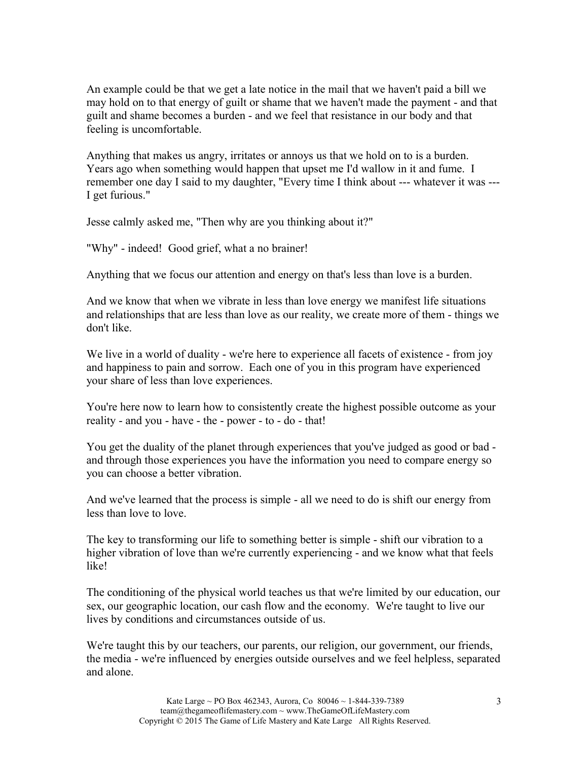An example could be that we get a late notice in the mail that we haven't paid a bill we may hold on to that energy of guilt or shame that we haven't made the payment - and that guilt and shame becomes a burden - and we feel that resistance in our body and that feeling is uncomfortable.

Anything that makes us angry, irritates or annoys us that we hold on to is a burden. Years ago when something would happen that upset me I'd wallow in it and fume. I remember one day I said to my daughter, "Every time I think about --- whatever it was --- I get furious."

Jesse calmly asked me, "Then why are you thinking about it?"

"Why" - indeed! Good grief, what a no brainer!

Anything that we focus our attention and energy on that's less than love is a burden.

And we know that when we vibrate in less than love energy we manifest life situations and relationships that are less than love as our reality, we create more of them - things we don't like.

We live in a world of duality - we're here to experience all facets of existence - from joy and happiness to pain and sorrow. Each one of you in this program have experienced your share of less than love experiences.

You're here now to learn how to consistently create the highest possible outcome as your reality - and you - have - the - power - to - do - that!

You get the duality of the planet through experiences that you've judged as good or bad and through those experiences you have the information you need to compare energy so you can choose a better vibration.

And we've learned that the process is simple - all we need to do is shift our energy from less than love to love.

The key to transforming our life to something better is simple - shift our vibration to a higher vibration of love than we're currently experiencing - and we know what that feels like!

The conditioning of the physical world teaches us that we're limited by our education, our sex, our geographic location, our cash flow and the economy. We're taught to live our lives by conditions and circumstances outside of us.

We're taught this by our teachers, our parents, our religion, our government, our friends, the media - we're influenced by energies outside ourselves and we feel helpless, separated and alone.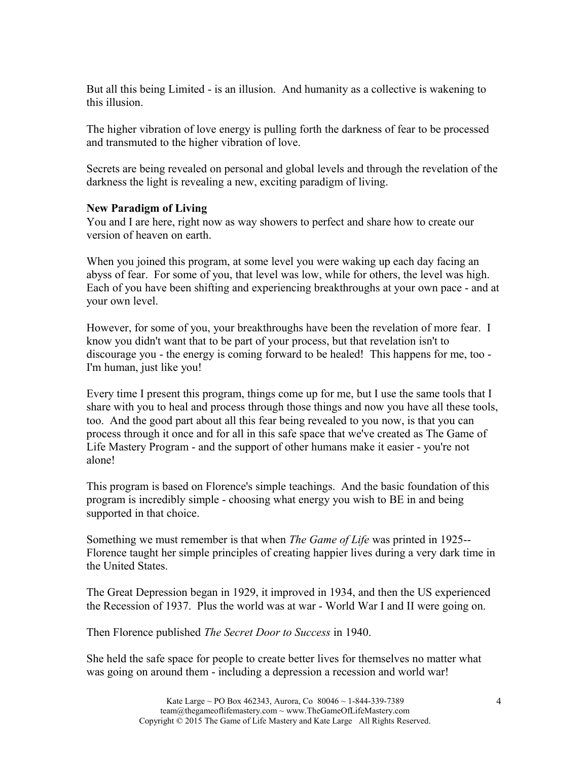But all this being Limited - is an illusion. And humanity as a collective is wakening to this illusion.

The higher vibration of love energy is pulling forth the darkness of fear to be processed and transmuted to the higher vibration of love.

Secrets are being revealed on personal and global levels and through the revelation of the darkness the light is revealing a new, exciting paradigm of living.

#### **New Paradigm of Living**

You and I are here, right now as way showers to perfect and share how to create our version of heaven on earth.

When you joined this program, at some level you were waking up each day facing an abyss of fear. For some of you, that level was low, while for others, the level was high. Each of you have been shifting and experiencing breakthroughs at your own pace - and at your own level.

However, for some of you, your breakthroughs have been the revelation of more fear. I know you didn't want that to be part of your process, but that revelation isn't to discourage you - the energy is coming forward to be healed! This happens for me, too - I'm human, just like you!

Every time I present this program, things come up for me, but I use the same tools that I share with you to heal and process through those things and now you have all these tools, too. And the good part about all this fear being revealed to you now, is that you can process through it once and for all in this safe space that we've created as The Game of Life Mastery Program - and the support of other humans make it easier - you're not alone!

This program is based on Florence's simple teachings. And the basic foundation of this program is incredibly simple - choosing what energy you wish to BE in and being supported in that choice.

Something we must remember is that when *The Game of Life* was printed in 1925-- Florence taught her simple principles of creating happier lives during a very dark time in the United States.

The Great Depression began in 1929, it improved in 1934, and then the US experienced the Recession of 1937. Plus the world was at war - World War I and II were going on.

Then Florence published *The Secret Door to Success* in 1940.

She held the safe space for people to create better lives for themselves no matter what was going on around them - including a depression a recession and world war!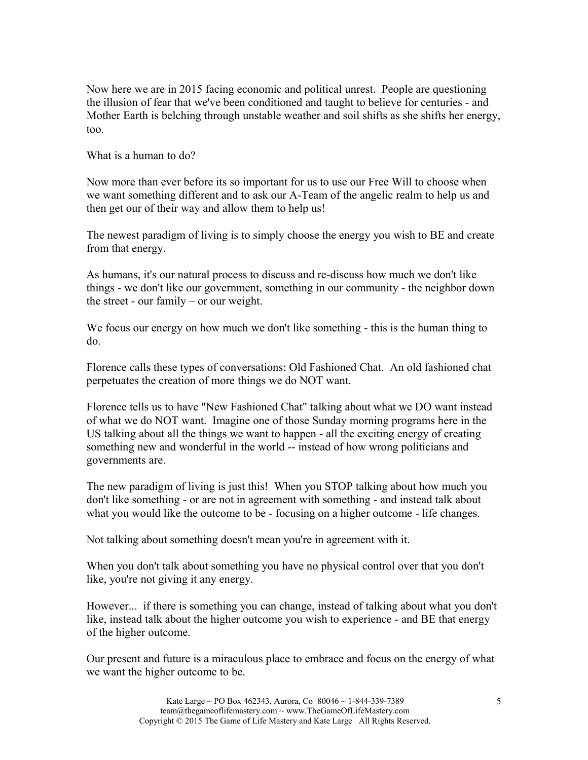Now here we are in 2015 facing economic and political unrest. People are questioning the illusion of fear that we've been conditioned and taught to believe for centuries - and Mother Earth is belching through unstable weather and soil shifts as she shifts her energy, too.

What is a human to do?

Now more than ever before its so important for us to use our Free Will to choose when we want something different and to ask our A-Team of the angelic realm to help us and then get our of their way and allow them to help us!

The newest paradigm of living is to simply choose the energy you wish to BE and create from that energy.

As humans, it's our natural process to discuss and re-discuss how much we don't like things - we don't like our government, something in our community - the neighbor down the street - our family – or our weight.

We focus our energy on how much we don't like something - this is the human thing to do.

Florence calls these types of conversations: Old Fashioned Chat. An old fashioned chat perpetuates the creation of more things we do NOT want.

Florence tells us to have "New Fashioned Chat" talking about what we DO want instead of what we do NOT want. Imagine one of those Sunday morning programs here in the US talking about all the things we want to happen - all the exciting energy of creating something new and wonderful in the world -- instead of how wrong politicians and governments are.

The new paradigm of living is just this! When you STOP talking about how much you don't like something - or are not in agreement with something - and instead talk about what you would like the outcome to be - focusing on a higher outcome - life changes.

Not talking about something doesn't mean you're in agreement with it.

When you don't talk about something you have no physical control over that you don't like, you're not giving it any energy.

However... if there is something you can change, instead of talking about what you don't like, instead talk about the higher outcome you wish to experience - and BE that energy of the higher outcome.

Our present and future is a miraculous place to embrace and focus on the energy of what we want the higher outcome to be.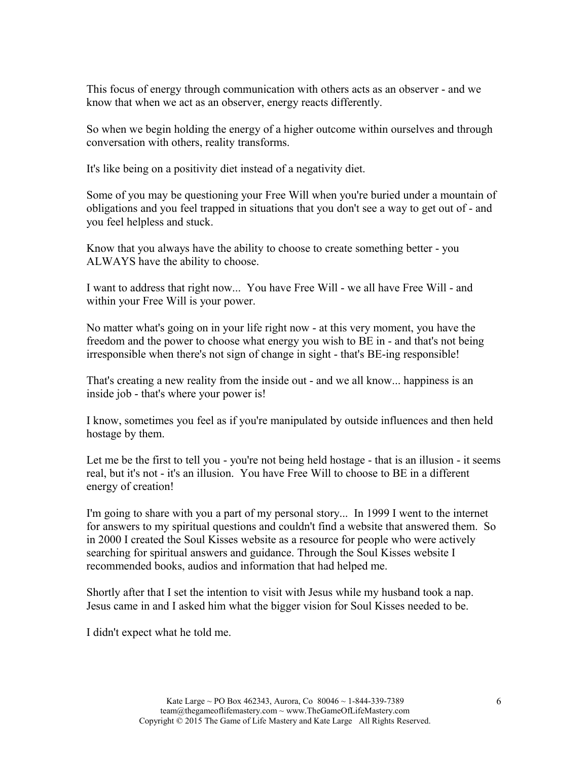This focus of energy through communication with others acts as an observer - and we know that when we act as an observer, energy reacts differently.

So when we begin holding the energy of a higher outcome within ourselves and through conversation with others, reality transforms.

It's like being on a positivity diet instead of a negativity diet.

Some of you may be questioning your Free Will when you're buried under a mountain of obligations and you feel trapped in situations that you don't see a way to get out of - and you feel helpless and stuck.

Know that you always have the ability to choose to create something better - you ALWAYS have the ability to choose.

I want to address that right now... You have Free Will - we all have Free Will - and within your Free Will is your power.

No matter what's going on in your life right now - at this very moment, you have the freedom and the power to choose what energy you wish to BE in - and that's not being irresponsible when there's not sign of change in sight - that's BE-ing responsible!

That's creating a new reality from the inside out - and we all know... happiness is an inside job - that's where your power is!

I know, sometimes you feel as if you're manipulated by outside influences and then held hostage by them.

Let me be the first to tell you - you're not being held hostage - that is an illusion - it seems real, but it's not - it's an illusion. You have Free Will to choose to BE in a different energy of creation!

I'm going to share with you a part of my personal story... In 1999 I went to the internet for answers to my spiritual questions and couldn't find a website that answered them. So in 2000 I created the Soul Kisses website as a resource for people who were actively searching for spiritual answers and guidance. Through the Soul Kisses website I recommended books, audios and information that had helped me.

Shortly after that I set the intention to visit with Jesus while my husband took a nap. Jesus came in and I asked him what the bigger vision for Soul Kisses needed to be.

I didn't expect what he told me.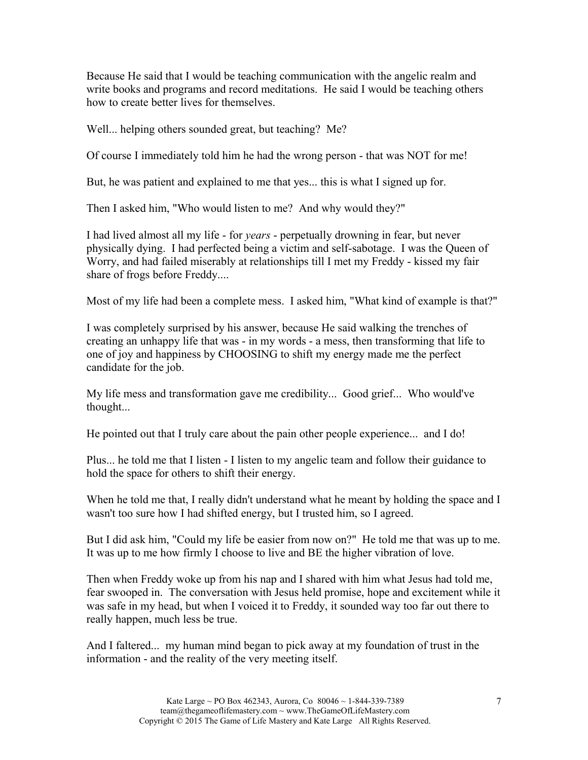Because He said that I would be teaching communication with the angelic realm and write books and programs and record meditations. He said I would be teaching others how to create better lives for themselves.

Well... helping others sounded great, but teaching? Me?

Of course I immediately told him he had the wrong person - that was NOT for me!

But, he was patient and explained to me that yes... this is what I signed up for.

Then I asked him, "Who would listen to me? And why would they?"

I had lived almost all my life - for *years* - perpetually drowning in fear, but never physically dying. I had perfected being a victim and self-sabotage. I was the Queen of Worry, and had failed miserably at relationships till I met my Freddy - kissed my fair share of frogs before Freddy....

Most of my life had been a complete mess. I asked him, "What kind of example is that?"

I was completely surprised by his answer, because He said walking the trenches of creating an unhappy life that was - in my words - a mess, then transforming that life to one of joy and happiness by CHOOSING to shift my energy made me the perfect candidate for the job.

My life mess and transformation gave me credibility... Good grief... Who would've thought...

He pointed out that I truly care about the pain other people experience... and I do!

Plus... he told me that I listen - I listen to my angelic team and follow their guidance to hold the space for others to shift their energy.

When he told me that, I really didn't understand what he meant by holding the space and I wasn't too sure how I had shifted energy, but I trusted him, so I agreed.

But I did ask him, "Could my life be easier from now on?" He told me that was up to me. It was up to me how firmly I choose to live and BE the higher vibration of love.

Then when Freddy woke up from his nap and I shared with him what Jesus had told me, fear swooped in. The conversation with Jesus held promise, hope and excitement while it was safe in my head, but when I voiced it to Freddy, it sounded way too far out there to really happen, much less be true.

And I faltered... my human mind began to pick away at my foundation of trust in the information - and the reality of the very meeting itself.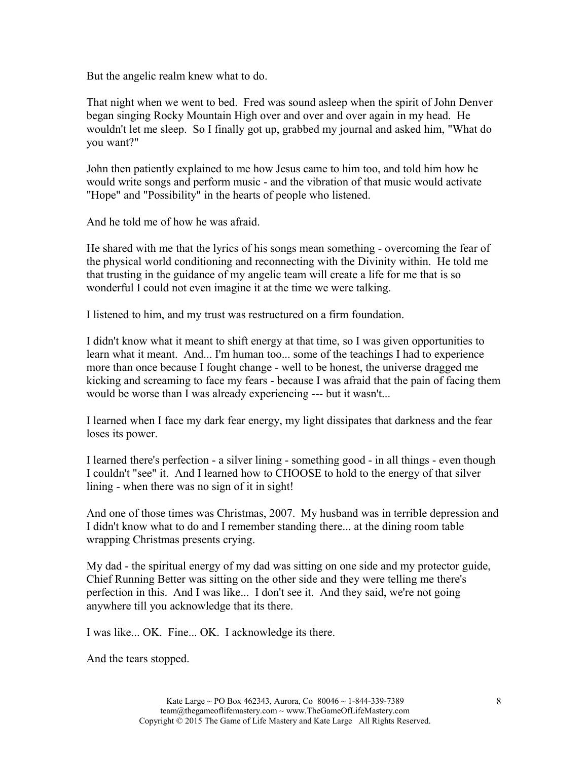But the angelic realm knew what to do.

That night when we went to bed. Fred was sound asleep when the spirit of John Denver began singing Rocky Mountain High over and over and over again in my head. He wouldn't let me sleep. So I finally got up, grabbed my journal and asked him, "What do you want?"

John then patiently explained to me how Jesus came to him too, and told him how he would write songs and perform music - and the vibration of that music would activate "Hope" and "Possibility" in the hearts of people who listened.

And he told me of how he was afraid.

He shared with me that the lyrics of his songs mean something - overcoming the fear of the physical world conditioning and reconnecting with the Divinity within. He told me that trusting in the guidance of my angelic team will create a life for me that is so wonderful I could not even imagine it at the time we were talking.

I listened to him, and my trust was restructured on a firm foundation.

I didn't know what it meant to shift energy at that time, so I was given opportunities to learn what it meant. And... I'm human too... some of the teachings I had to experience more than once because I fought change - well to be honest, the universe dragged me kicking and screaming to face my fears - because I was afraid that the pain of facing them would be worse than I was already experiencing --- but it wasn't...

I learned when I face my dark fear energy, my light dissipates that darkness and the fear loses its power.

I learned there's perfection - a silver lining - something good - in all things - even though I couldn't "see" it. And I learned how to CHOOSE to hold to the energy of that silver lining - when there was no sign of it in sight!

And one of those times was Christmas, 2007. My husband was in terrible depression and I didn't know what to do and I remember standing there... at the dining room table wrapping Christmas presents crying.

My dad - the spiritual energy of my dad was sitting on one side and my protector guide, Chief Running Better was sitting on the other side and they were telling me there's perfection in this. And I was like... I don't see it. And they said, we're not going anywhere till you acknowledge that its there.

I was like... OK. Fine... OK. I acknowledge its there.

And the tears stopped.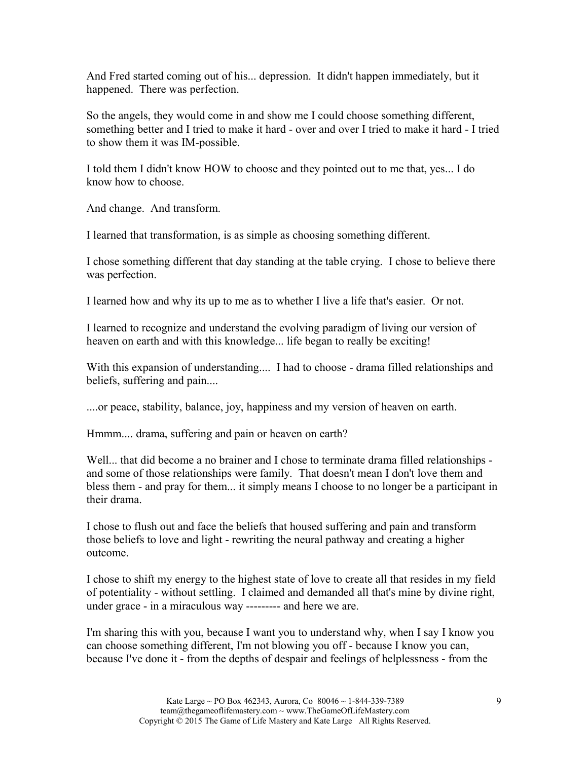And Fred started coming out of his... depression. It didn't happen immediately, but it happened. There was perfection.

So the angels, they would come in and show me I could choose something different, something better and I tried to make it hard - over and over I tried to make it hard - I tried to show them it was IM-possible.

I told them I didn't know HOW to choose and they pointed out to me that, yes... I do know how to choose.

And change. And transform.

I learned that transformation, is as simple as choosing something different.

I chose something different that day standing at the table crying. I chose to believe there was perfection.

I learned how and why its up to me as to whether I live a life that's easier. Or not.

I learned to recognize and understand the evolving paradigm of living our version of heaven on earth and with this knowledge... life began to really be exciting!

With this expansion of understanding.... I had to choose - drama filled relationships and beliefs, suffering and pain....

....or peace, stability, balance, joy, happiness and my version of heaven on earth.

Hmmm.... drama, suffering and pain or heaven on earth?

Well... that did become a no brainer and I chose to terminate drama filled relationships and some of those relationships were family. That doesn't mean I don't love them and bless them - and pray for them... it simply means I choose to no longer be a participant in their drama.

I chose to flush out and face the beliefs that housed suffering and pain and transform those beliefs to love and light - rewriting the neural pathway and creating a higher outcome.

I chose to shift my energy to the highest state of love to create all that resides in my field of potentiality - without settling. I claimed and demanded all that's mine by divine right, under grace - in a miraculous way --------- and here we are.

I'm sharing this with you, because I want you to understand why, when I say I know you can choose something different, I'm not blowing you off - because I know you can, because I've done it - from the depths of despair and feelings of helplessness - from the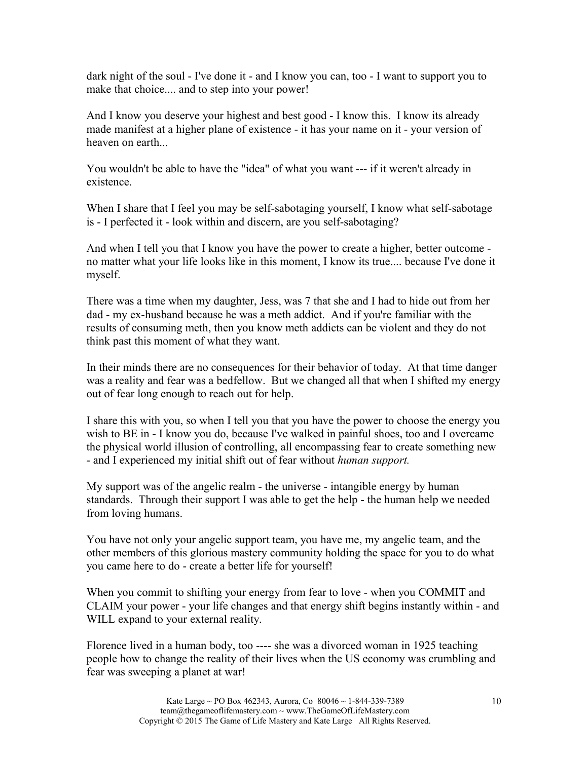dark night of the soul - I've done it - and I know you can, too - I want to support you to make that choice.... and to step into your power!

And I know you deserve your highest and best good - I know this. I know its already made manifest at a higher plane of existence - it has your name on it - your version of heaven on earth

You wouldn't be able to have the "idea" of what you want --- if it weren't already in existence.

When I share that I feel you may be self-sabotaging yourself, I know what self-sabotage is - I perfected it - look within and discern, are you self-sabotaging?

And when I tell you that I know you have the power to create a higher, better outcome no matter what your life looks like in this moment, I know its true.... because I've done it myself.

There was a time when my daughter, Jess, was 7 that she and I had to hide out from her dad - my ex-husband because he was a meth addict. And if you're familiar with the results of consuming meth, then you know meth addicts can be violent and they do not think past this moment of what they want.

In their minds there are no consequences for their behavior of today. At that time danger was a reality and fear was a bedfellow. But we changed all that when I shifted my energy out of fear long enough to reach out for help.

I share this with you, so when I tell you that you have the power to choose the energy you wish to BE in - I know you do, because I've walked in painful shoes, too and I overcame the physical world illusion of controlling, all encompassing fear to create something new - and I experienced my initial shift out of fear without *human support.*

My support was of the angelic realm - the universe - intangible energy by human standards. Through their support I was able to get the help - the human help we needed from loving humans.

You have not only your angelic support team, you have me, my angelic team, and the other members of this glorious mastery community holding the space for you to do what you came here to do - create a better life for yourself!

When you commit to shifting your energy from fear to love - when you COMMIT and CLAIM your power - your life changes and that energy shift begins instantly within - and WILL expand to your external reality.

Florence lived in a human body, too ---- she was a divorced woman in 1925 teaching people how to change the reality of their lives when the US economy was crumbling and fear was sweeping a planet at war!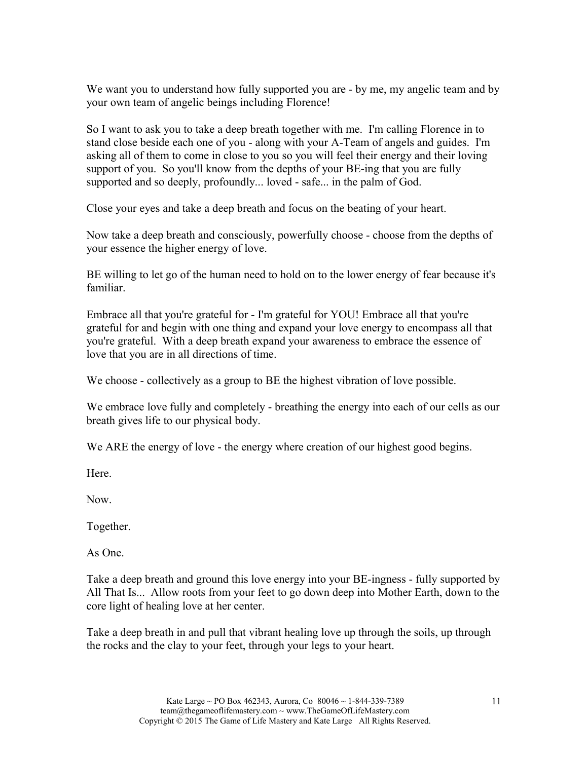We want you to understand how fully supported you are - by me, my angelic team and by your own team of angelic beings including Florence!

So I want to ask you to take a deep breath together with me. I'm calling Florence in to stand close beside each one of you - along with your A-Team of angels and guides. I'm asking all of them to come in close to you so you will feel their energy and their loving support of you. So you'll know from the depths of your BE-ing that you are fully supported and so deeply, profoundly... loved - safe... in the palm of God.

Close your eyes and take a deep breath and focus on the beating of your heart.

Now take a deep breath and consciously, powerfully choose - choose from the depths of your essence the higher energy of love.

BE willing to let go of the human need to hold on to the lower energy of fear because it's familiar.

Embrace all that you're grateful for - I'm grateful for YOU! Embrace all that you're grateful for and begin with one thing and expand your love energy to encompass all that you're grateful. With a deep breath expand your awareness to embrace the essence of love that you are in all directions of time.

We choose - collectively as a group to BE the highest vibration of love possible.

We embrace love fully and completely - breathing the energy into each of our cells as our breath gives life to our physical body.

We ARE the energy of love - the energy where creation of our highest good begins.

**Here** 

Now.

Together.

As One.

Take a deep breath and ground this love energy into your BE-ingness - fully supported by All That Is... Allow roots from your feet to go down deep into Mother Earth, down to the core light of healing love at her center.

Take a deep breath in and pull that vibrant healing love up through the soils, up through the rocks and the clay to your feet, through your legs to your heart.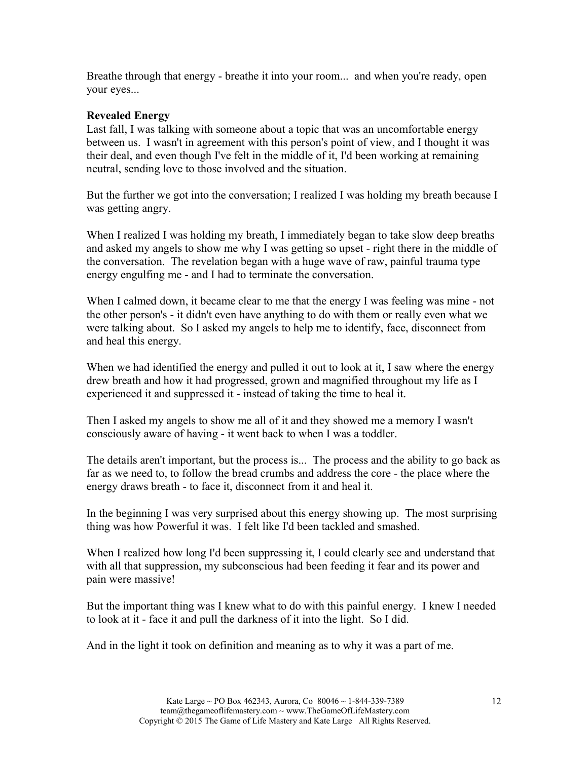Breathe through that energy - breathe it into your room... and when you're ready, open your eyes...

### **Revealed Energy**

Last fall, I was talking with someone about a topic that was an uncomfortable energy between us. I wasn't in agreement with this person's point of view, and I thought it was their deal, and even though I've felt in the middle of it, I'd been working at remaining neutral, sending love to those involved and the situation.

But the further we got into the conversation; I realized I was holding my breath because I was getting angry.

When I realized I was holding my breath, I immediately began to take slow deep breaths and asked my angels to show me why I was getting so upset - right there in the middle of the conversation. The revelation began with a huge wave of raw, painful trauma type energy engulfing me - and I had to terminate the conversation.

When I calmed down, it became clear to me that the energy I was feeling was mine - not the other person's - it didn't even have anything to do with them or really even what we were talking about. So I asked my angels to help me to identify, face, disconnect from and heal this energy.

When we had identified the energy and pulled it out to look at it, I saw where the energy drew breath and how it had progressed, grown and magnified throughout my life as I experienced it and suppressed it - instead of taking the time to heal it.

Then I asked my angels to show me all of it and they showed me a memory I wasn't consciously aware of having - it went back to when I was a toddler.

The details aren't important, but the process is... The process and the ability to go back as far as we need to, to follow the bread crumbs and address the core - the place where the energy draws breath - to face it, disconnect from it and heal it.

In the beginning I was very surprised about this energy showing up. The most surprising thing was how Powerful it was. I felt like I'd been tackled and smashed.

When I realized how long I'd been suppressing it, I could clearly see and understand that with all that suppression, my subconscious had been feeding it fear and its power and pain were massive!

But the important thing was I knew what to do with this painful energy. I knew I needed to look at it - face it and pull the darkness of it into the light. So I did.

And in the light it took on definition and meaning as to why it was a part of me.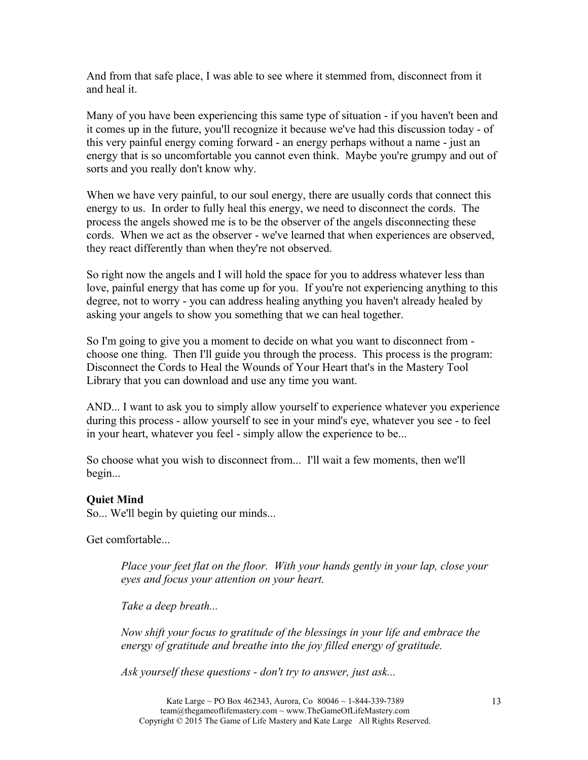And from that safe place, I was able to see where it stemmed from, disconnect from it and heal it.

Many of you have been experiencing this same type of situation - if you haven't been and it comes up in the future, you'll recognize it because we've had this discussion today - of this very painful energy coming forward - an energy perhaps without a name - just an energy that is so uncomfortable you cannot even think. Maybe you're grumpy and out of sorts and you really don't know why.

When we have very painful, to our soul energy, there are usually cords that connect this energy to us. In order to fully heal this energy, we need to disconnect the cords. The process the angels showed me is to be the observer of the angels disconnecting these cords. When we act as the observer - we've learned that when experiences are observed, they react differently than when they're not observed.

So right now the angels and I will hold the space for you to address whatever less than love, painful energy that has come up for you. If you're not experiencing anything to this degree, not to worry - you can address healing anything you haven't already healed by asking your angels to show you something that we can heal together.

So I'm going to give you a moment to decide on what you want to disconnect from choose one thing. Then I'll guide you through the process. This process is the program: Disconnect the Cords to Heal the Wounds of Your Heart that's in the Mastery Tool Library that you can download and use any time you want.

AND... I want to ask you to simply allow yourself to experience whatever you experience during this process - allow yourself to see in your mind's eye, whatever you see - to feel in your heart, whatever you feel - simply allow the experience to be...

So choose what you wish to disconnect from... I'll wait a few moments, then we'll begin...

#### **Quiet Mind**

So... We'll begin by quieting our minds...

Get comfortable...

*Place your feet flat on the floor. With your hands gently in your lap, close your eyes and focus your attention on your heart.* 

*Take a deep breath...*

*Now shift your focus to gratitude of the blessings in your life and embrace the energy of gratitude and breathe into the joy filled energy of gratitude.*

*Ask yourself these questions - don't try to answer, just ask...*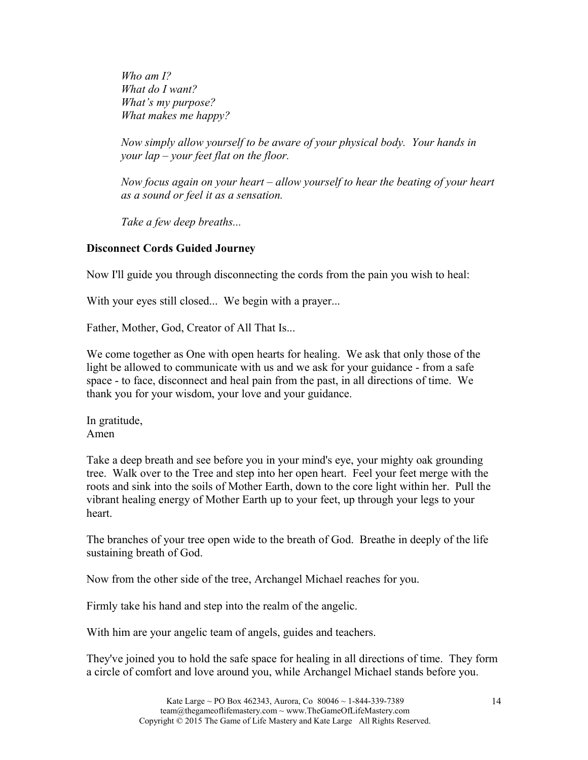*Who am I? What do I want? What's my purpose? What makes me happy?*

*Now simply allow yourself to be aware of your physical body. Your hands in your lap – your feet flat on the floor.*

*Now focus again on your heart – allow yourself to hear the beating of your heart as a sound or feel it as a sensation.*

*Take a few deep breaths...*

#### **Disconnect Cords Guided Journey**

Now I'll guide you through disconnecting the cords from the pain you wish to heal:

With your eyes still closed... We begin with a prayer...

Father, Mother, God, Creator of All That Is...

We come together as One with open hearts for healing. We ask that only those of the light be allowed to communicate with us and we ask for your guidance - from a safe space - to face, disconnect and heal pain from the past, in all directions of time. We thank you for your wisdom, your love and your guidance.

In gratitude, Amen

Take a deep breath and see before you in your mind's eye, your mighty oak grounding tree. Walk over to the Tree and step into her open heart. Feel your feet merge with the roots and sink into the soils of Mother Earth, down to the core light within her. Pull the vibrant healing energy of Mother Earth up to your feet, up through your legs to your heart.

The branches of your tree open wide to the breath of God. Breathe in deeply of the life sustaining breath of God.

Now from the other side of the tree, Archangel Michael reaches for you.

Firmly take his hand and step into the realm of the angelic.

With him are your angelic team of angels, guides and teachers.

They've joined you to hold the safe space for healing in all directions of time. They form a circle of comfort and love around you, while Archangel Michael stands before you.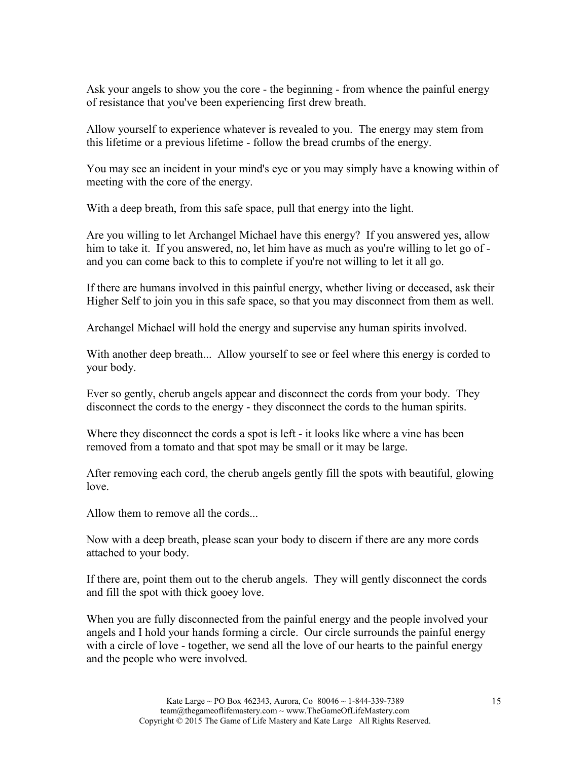Ask your angels to show you the core - the beginning - from whence the painful energy of resistance that you've been experiencing first drew breath.

Allow yourself to experience whatever is revealed to you. The energy may stem from this lifetime or a previous lifetime - follow the bread crumbs of the energy.

You may see an incident in your mind's eye or you may simply have a knowing within of meeting with the core of the energy.

With a deep breath, from this safe space, pull that energy into the light.

Are you willing to let Archangel Michael have this energy? If you answered yes, allow him to take it. If you answered, no, let him have as much as you're willing to let go of and you can come back to this to complete if you're not willing to let it all go.

If there are humans involved in this painful energy, whether living or deceased, ask their Higher Self to join you in this safe space, so that you may disconnect from them as well.

Archangel Michael will hold the energy and supervise any human spirits involved.

With another deep breath... Allow yourself to see or feel where this energy is corded to your body.

Ever so gently, cherub angels appear and disconnect the cords from your body. They disconnect the cords to the energy - they disconnect the cords to the human spirits.

Where they disconnect the cords a spot is left - it looks like where a vine has been removed from a tomato and that spot may be small or it may be large.

After removing each cord, the cherub angels gently fill the spots with beautiful, glowing love.

Allow them to remove all the cords...

Now with a deep breath, please scan your body to discern if there are any more cords attached to your body.

If there are, point them out to the cherub angels. They will gently disconnect the cords and fill the spot with thick gooey love.

When you are fully disconnected from the painful energy and the people involved your angels and I hold your hands forming a circle. Our circle surrounds the painful energy with a circle of love - together, we send all the love of our hearts to the painful energy and the people who were involved.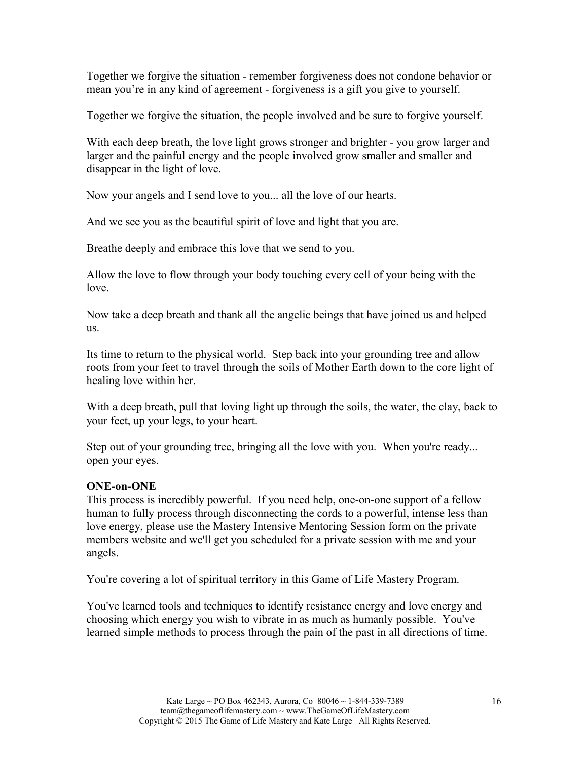Together we forgive the situation - remember forgiveness does not condone behavior or mean you're in any kind of agreement - forgiveness is a gift you give to yourself.

Together we forgive the situation, the people involved and be sure to forgive yourself.

With each deep breath, the love light grows stronger and brighter - you grow larger and larger and the painful energy and the people involved grow smaller and smaller and disappear in the light of love.

Now your angels and I send love to you... all the love of our hearts.

And we see you as the beautiful spirit of love and light that you are.

Breathe deeply and embrace this love that we send to you.

Allow the love to flow through your body touching every cell of your being with the love.

Now take a deep breath and thank all the angelic beings that have joined us and helped us.

Its time to return to the physical world. Step back into your grounding tree and allow roots from your feet to travel through the soils of Mother Earth down to the core light of healing love within her.

With a deep breath, pull that loving light up through the soils, the water, the clay, back to your feet, up your legs, to your heart.

Step out of your grounding tree, bringing all the love with you. When you're ready... open your eyes.

## **ONE-on-ONE**

This process is incredibly powerful. If you need help, one-on-one support of a fellow human to fully process through disconnecting the cords to a powerful, intense less than love energy, please use the Mastery Intensive Mentoring Session form on the private members website and we'll get you scheduled for a private session with me and your angels.

You're covering a lot of spiritual territory in this Game of Life Mastery Program.

You've learned tools and techniques to identify resistance energy and love energy and choosing which energy you wish to vibrate in as much as humanly possible. You've learned simple methods to process through the pain of the past in all directions of time.